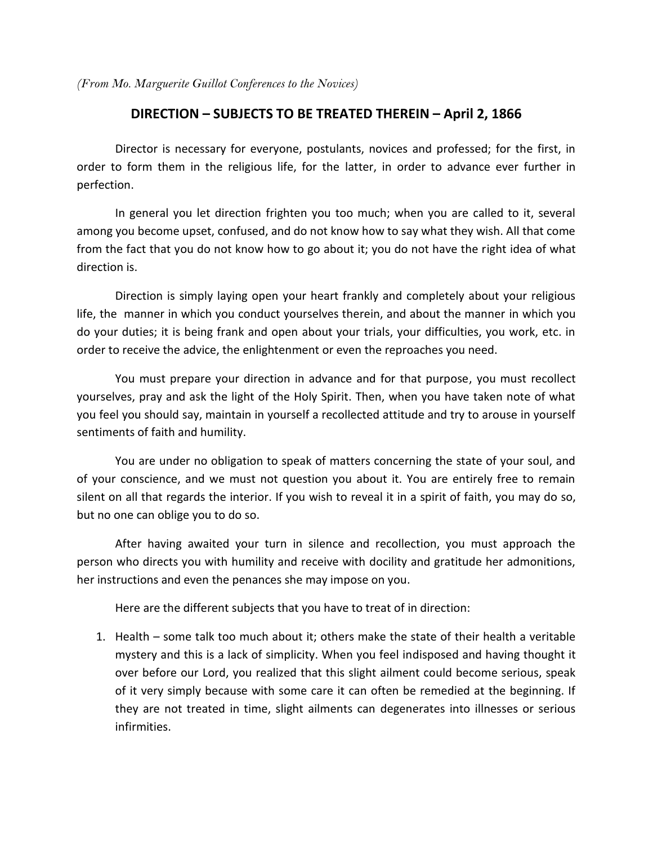*(From Mo. Marguerite Guillot Conferences to the Novices)* 

## **DIRECTION – SUBJECTS TO BE TREATED THEREIN – April 2, 1866**

 Director is necessary for everyone, postulants, novices and professed; for the first, in order to form them in the religious life, for the latter, in order to advance ever further in perfection.

 In general you let direction frighten you too much; when you are called to it, several among you become upset, confused, and do not know how to say what they wish. All that come from the fact that you do not know how to go about it; you do not have the right idea of what direction is.

 Direction is simply laying open your heart frankly and completely about your religious life, the manner in which you conduct yourselves therein, and about the manner in which you do your duties; it is being frank and open about your trials, your difficulties, you work, etc. in order to receive the advice, the enlightenment or even the reproaches you need.

 You must prepare your direction in advance and for that purpose, you must recollect yourselves, pray and ask the light of the Holy Spirit. Then, when you have taken note of what you feel you should say, maintain in yourself a recollected attitude and try to arouse in yourself sentiments of faith and humility.

 You are under no obligation to speak of matters concerning the state of your soul, and of your conscience, and we must not question you about it. You are entirely free to remain silent on all that regards the interior. If you wish to reveal it in a spirit of faith, you may do so, but no one can oblige you to do so.

 After having awaited your turn in silence and recollection, you must approach the person who directs you with humility and receive with docility and gratitude her admonitions, her instructions and even the penances she may impose on you.

Here are the different subjects that you have to treat of in direction:

1. Health – some talk too much about it; others make the state of their health a veritable mystery and this is a lack of simplicity. When you feel indisposed and having thought it over before our Lord, you realized that this slight ailment could become serious, speak of it very simply because with some care it can often be remedied at the beginning. If they are not treated in time, slight ailments can degenerates into illnesses or serious infirmities.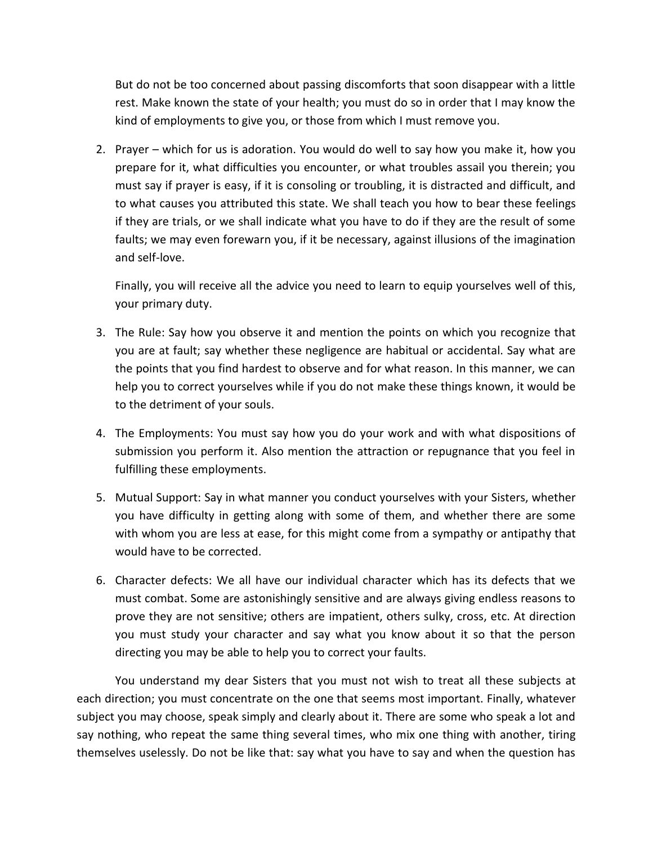But do not be too concerned about passing discomforts that soon disappear with a little rest. Make known the state of your health; you must do so in order that I may know the kind of employments to give you, or those from which I must remove you.

2. Prayer – which for us is adoration. You would do well to say how you make it, how you prepare for it, what difficulties you encounter, or what troubles assail you therein; you must say if prayer is easy, if it is consoling or troubling, it is distracted and difficult, and to what causes you attributed this state. We shall teach you how to bear these feelings if they are trials, or we shall indicate what you have to do if they are the result of some faults; we may even forewarn you, if it be necessary, against illusions of the imagination and self-love.

Finally, you will receive all the advice you need to learn to equip yourselves well of this, your primary duty.

- 3. The Rule: Say how you observe it and mention the points on which you recognize that you are at fault; say whether these negligence are habitual or accidental. Say what are the points that you find hardest to observe and for what reason. In this manner, we can help you to correct yourselves while if you do not make these things known, it would be to the detriment of your souls.
- 4. The Employments: You must say how you do your work and with what dispositions of submission you perform it. Also mention the attraction or repugnance that you feel in fulfilling these employments.
- 5. Mutual Support: Say in what manner you conduct yourselves with your Sisters, whether you have difficulty in getting along with some of them, and whether there are some with whom you are less at ease, for this might come from a sympathy or antipathy that would have to be corrected.
- 6. Character defects: We all have our individual character which has its defects that we must combat. Some are astonishingly sensitive and are always giving endless reasons to prove they are not sensitive; others are impatient, others sulky, cross, etc. At direction you must study your character and say what you know about it so that the person directing you may be able to help you to correct your faults.

You understand my dear Sisters that you must not wish to treat all these subjects at each direction; you must concentrate on the one that seems most important. Finally, whatever subject you may choose, speak simply and clearly about it. There are some who speak a lot and say nothing, who repeat the same thing several times, who mix one thing with another, tiring themselves uselessly. Do not be like that: say what you have to say and when the question has